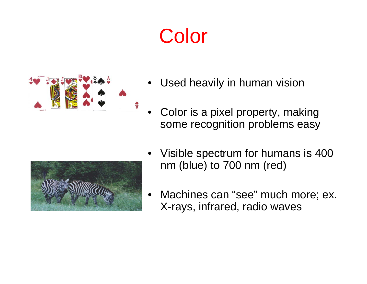# Color



- •Used heavily in human vision
- • Color is a pixel property, making some recognition problems easy



- • Visible spectrum for humans is 400 nm (blue) to 700 nm (red)
- • Machines can "see" much more; ex. X-rays, infrared, radio waves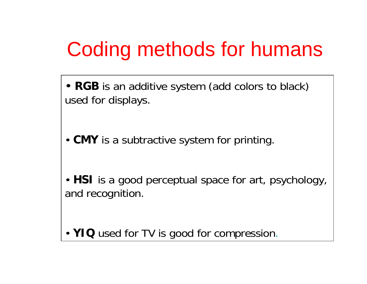# Coding methods for humans

• **RGB** is an additive system (add colors to black) used for displays.

• **CMY** is a subtractive system for printing.

• **HSI** is a good perceptual space for art, psychology, and recognition.

• **YIQ** used for TV is good for compression.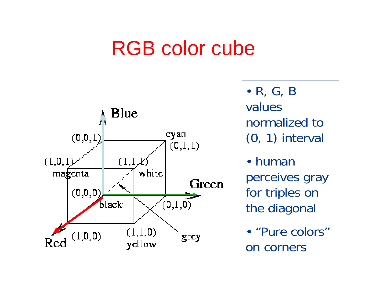# RGB color cube



• R, G, B values normalized to (0, 1) interval

• humanperceives gray for triples on the diagonal

• "Pure colors" on corners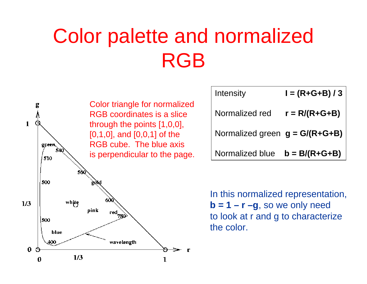# Color palette and normalized RGB

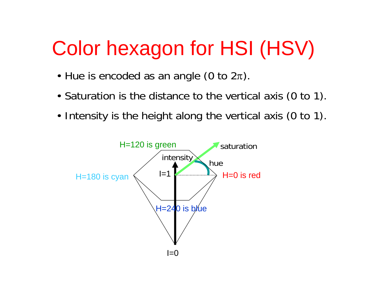# Color hexagon for HSI (HSV)

- Hue is encoded as an angle (0 to  $2\pi$ ).
- Saturation is the distance to the vertical axis (0 to 1).
- Intensity is the height along the vertical axis (0 to 1).

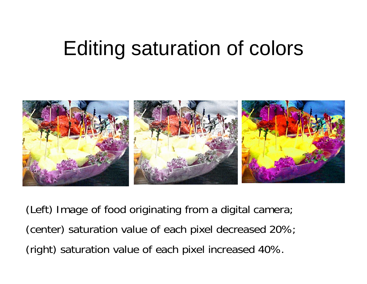# Editing saturation of colors



(Left) Image of food originating from a digital camera; (center) saturation value of each pixel decreased 20%; (right) saturation value of each pixel increased 40%.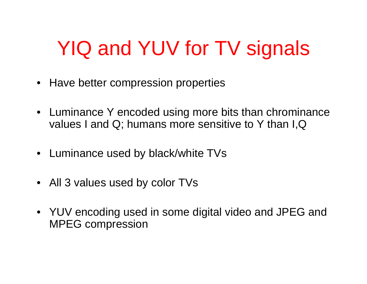# YIQ and YUV for TV signals

- Have better compression properties
- Luminance Y encoded using more bits than chrominance values I and Q; humans more sensitive to Y than I,Q
- Luminance used by black/white TVs
- All 3 values used by color TVs
- YUV encoding used in some digital video and JPEG and MPEG compression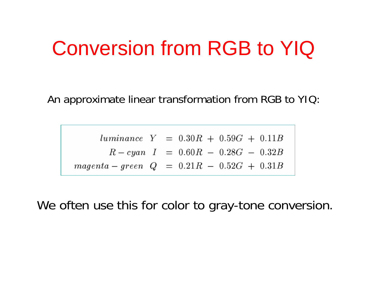# Conversion from RGB to YIQ

An approximate linear transformation from RGB to YIQ:

 $luminance$   $Y = 0.30R + 0.59G + 0.11B$  $R-cyan$   $I = 0.60R - 0.28G - 0.32B$  $magenta - green$   $Q = 0.21R - 0.52G + 0.31B$ 

We often use this for color to gray-tone conversion.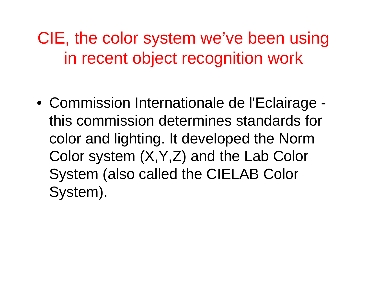CIE, the color system we've been using in recent object recognition work

• Commission Internationale de l'Eclairage this commission determines standards for color and lighting. It developed the Norm Color system (X,Y,Z) and the Lab Color System (also called the CIELAB Color System).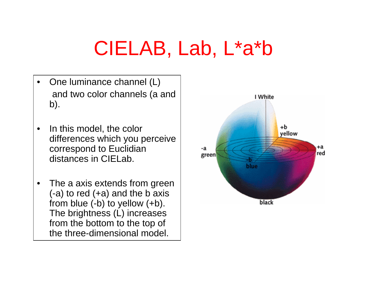# CIELAB, Lab, L\*a\*b

- •One luminance channel (L) and two color channels (a and b).
- • In this model, the color differences which you perceive correspond to Euclidian distances in CIELab.
- •The a axis extends from green  $(-a)$  to red  $(+a)$  and the b axis from blue (-b) to yellow (+b). The brightness (L) increases from the bottom to the top of the three-dimensional model.

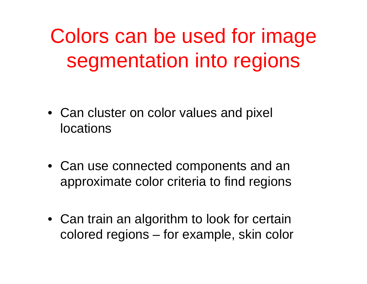Colors can be used for image segmentation into regions

- Can cluster on color values and pixel locations
- Can use connected components and an approximate color criteria to find regions
- Can train an algorithm to look for certain colored regions – for example, skin color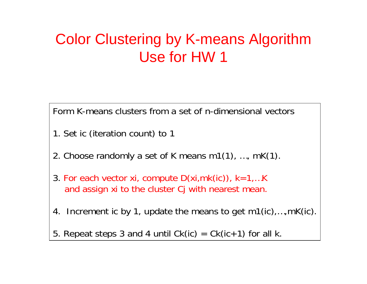### Color Clustering by K-means Algorithm Use for HW 1

Form K-means clusters from a set of n-dimensional vectors

- 1. Set ic (iteration c ount) to 1
- 2. Choose randomly a set of K means m1(1), …, mK(1).
- 3. For each vector xi, compute  $D(xi,mk(ic))$ ,  $k=1,...K$ and assign xi to the cluster Cj with nearest mean.
- 4. Increment ic by 1, update the means to get m1(ic),…,mK(ic).
- 5. Repeat steps 3 and 4 until  $Ck(ic) = Ck(ic+1)$  for all k.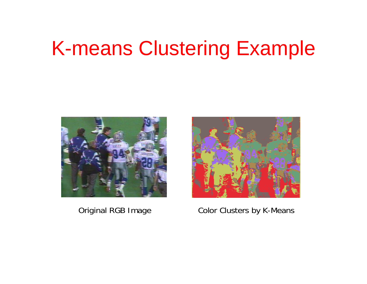# K-means Clustering Example



#### Original RGB Image



#### Color Clusters by K-Means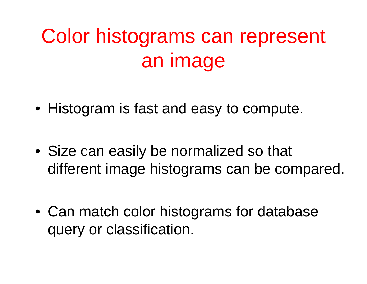# Color histograms can represent an image

• Histogram is fast and easy to compute.

• Size can easily be normalized so that different image histograms can be compared.

• Can match color histograms for database query or classification.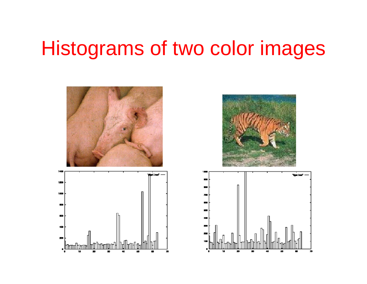## Histograms of two color images







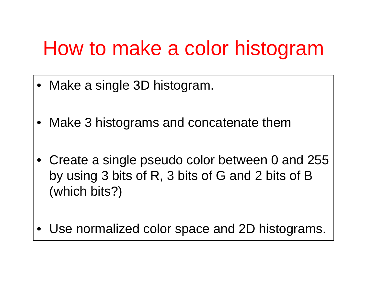# How to make a color histogram

- •Make a single 3D histogram.
- •Make 3 histograms and concatenate them
- Create a single pseudo color between 0 and 255 by using 3 bits of R, 3 bits of G and 2 bits of B (which bits?)
- •Use normalized color space and 2D histograms.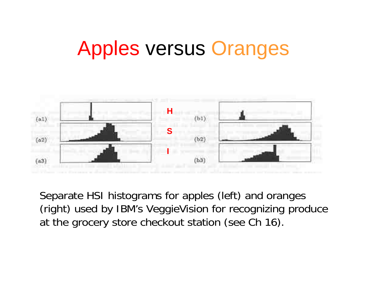# Apples versus Oranges



Separate HSI histograms for apples (left) and oranges (right) used by IBM's VeggieVision for recognizing produce at the grocery store checkout station (see Ch 16).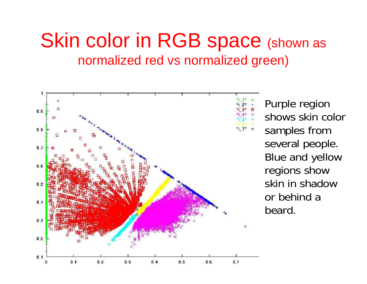### Skin color in RGB space (shown as normalized red vs normalized green)



Purple region shows skin color samples from several people. Blue and yellow regions show skin in shadow or behind a beard.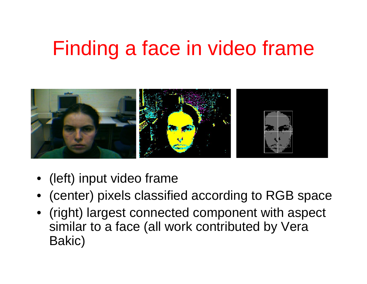# Finding a face in video frame



- (left) input video frame
- (center) pixels classified according to RGB space
- (right) largest connected component with aspect similar to a face (all work contributed by Vera Bakic)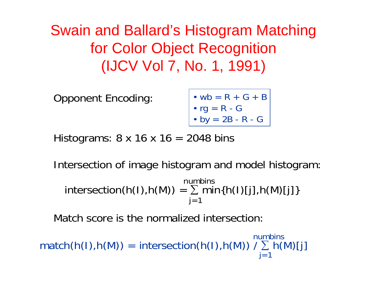Swain and Ballard's Histogram Matching for Color Object Recognition (IJCV Vol 7, No. 1, 1991)

Opponent Encoding:

$$
\begin{vmatrix}\n\cdot & \text{wb} = R + G + B \\
\cdot & \text{rg} = R - G \\
\cdot & \text{by} = 2B - R - G\n\end{vmatrix}
$$

Histograms:  $8 \times 16 \times 16 = 2048$  bins

Intersection of image histogram and model histogram:

 ${\sf intersection}({\sf h}({\sf l}), {\sf h}({\sf M})) = \sum {\sf min}\{{\sf h}({\sf l}){\sf [j]}, {\sf h}({\sf M}){\sf [j]}\}$  $i=1$ numbins

Match score is the normalized intersection:

 $\mathsf{match}(\mathsf{h}(\mathsf{I}), \mathsf{h}(\mathsf{M})) \ = \ \mathsf{intersection}(\mathsf{h}(\mathsf{I}), \mathsf{h}(\mathsf{M})) \ / \sum\limits_{\mathsf{j} = 1} \mathsf{h}(\mathsf{M})[\mathsf{j}]$ numbins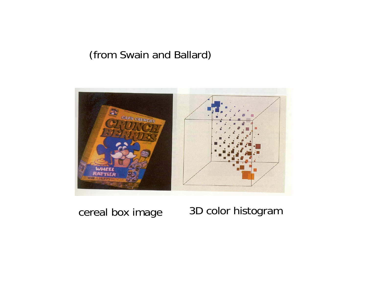### (from Swain and Ballard)



### cereal box image 3D color histogram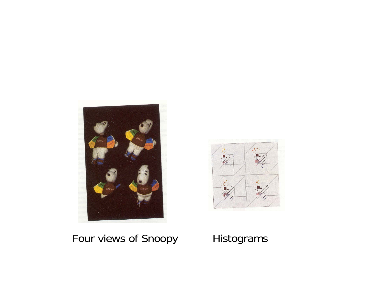



### Four views of Snoopy Histograms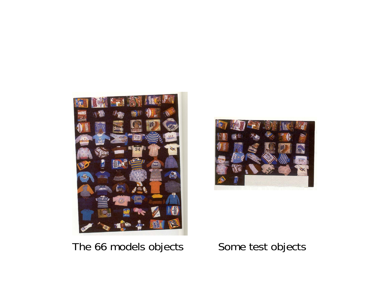



### The 66 models objects Some test objects